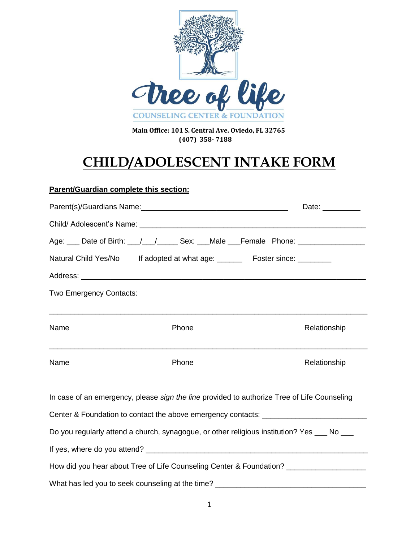

 **Main Office: 101 S. Central Ave. Oviedo, FL 32765 (407) 358- 7188**

# **CHILD/ADOLESCENT INTAKE FORM**

### **Parent/Guardian complete this section:**

|                         |                                                                             | Date: $\_\_$                                                                                                                                                                                                                   |
|-------------------------|-----------------------------------------------------------------------------|--------------------------------------------------------------------------------------------------------------------------------------------------------------------------------------------------------------------------------|
|                         |                                                                             |                                                                                                                                                                                                                                |
|                         |                                                                             | Age: ___ Date of Birth: __/ __/ _____ Sex: ___Male ___Female Phone: ____________                                                                                                                                               |
|                         | Natural Child Yes/No If adopted at what age: _______ Foster since: ________ |                                                                                                                                                                                                                                |
|                         |                                                                             |                                                                                                                                                                                                                                |
| Two Emergency Contacts: |                                                                             |                                                                                                                                                                                                                                |
| Name                    | Phone                                                                       | ,我们也不能在这里的人,我们也不能在这里的人,我们也不能在这里的人,我们也不能在这里的人,我们也不能在这里的人,我们也不能在这里的人,我们也不能在这里的人,我们也<br>Relationship                                                                                                                              |
| Name                    | Phone                                                                       | Relationship                                                                                                                                                                                                                   |
|                         |                                                                             | In case of an emergency, please sign the line provided to authorize Tree of Life Counseling                                                                                                                                    |
|                         |                                                                             | Center & Foundation to contact the above emergency contacts: ___________________                                                                                                                                               |
|                         |                                                                             | Do you regularly attend a church, synagogue, or other religious institution? Yes ___ No ___                                                                                                                                    |
|                         |                                                                             |                                                                                                                                                                                                                                |
|                         |                                                                             | How did you hear about Tree of Life Counseling Center & Foundation? _____________                                                                                                                                              |
|                         |                                                                             | What has led you to seek counseling at the time? Letter that the set of the set of the set of the set of the set of the set of the set of the set of the set of the set of the set of the set of the set of the set of the set |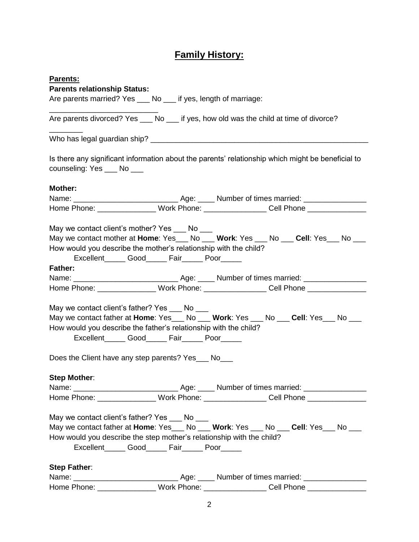# **Family History:**

| Parents:                                                                                                                        |                                                     |  |
|---------------------------------------------------------------------------------------------------------------------------------|-----------------------------------------------------|--|
| <b>Parents relationship Status:</b>                                                                                             |                                                     |  |
| Are parents married? Yes ___ No ___ if yes, length of marriage:                                                                 |                                                     |  |
| Are parents divorced? Yes ___ No ___ if yes, how old was the child at time of divorce?                                          |                                                     |  |
|                                                                                                                                 |                                                     |  |
| Is there any significant information about the parents' relationship which might be beneficial to<br>counseling: Yes ___ No ___ |                                                     |  |
| <b>Mother:</b>                                                                                                                  |                                                     |  |
|                                                                                                                                 |                                                     |  |
| Home Phone: __________________Work Phone: __________________Cell Phone ________________                                         |                                                     |  |
| May we contact client's mother? Yes ___ No ___                                                                                  |                                                     |  |
| May we contact mother at Home: Yes___ No ___ Work: Yes ___ No ___ Cell: Yes___ No ___                                           |                                                     |  |
| How would you describe the mother's relationship with the child?                                                                | Excellent_______ Good_______ Fair_______ Poor______ |  |
| <b>Father:</b>                                                                                                                  |                                                     |  |
|                                                                                                                                 |                                                     |  |
| Home Phone: __________________Work Phone: __________________Cell Phone _______________                                          |                                                     |  |
|                                                                                                                                 |                                                     |  |
| May we contact client's father? Yes ___ No ___                                                                                  |                                                     |  |
| May we contact father at Home: Yes___ No ___ Work: Yes ___ No ___ Cell: Yes___ No ___                                           |                                                     |  |
| How would you describe the father's relationship with the child?                                                                |                                                     |  |
|                                                                                                                                 | Excellent_______ Good_______ Fair_______ Poor______ |  |
| Does the Client have any step parents? Yes___ No___                                                                             |                                                     |  |
| <b>Step Mother:</b>                                                                                                             |                                                     |  |
|                                                                                                                                 |                                                     |  |
| Home Phone: _________________ Work Phone: _________________ Cell Phone _______________                                          |                                                     |  |
| May we contact client's father? Yes ___ No ___                                                                                  |                                                     |  |
| May we contact father at Home: Yes___ No ___ Work: Yes ___ No ___ Cell: Yes___ No ___                                           |                                                     |  |
| How would you describe the step mother's relationship with the child?                                                           |                                                     |  |
|                                                                                                                                 | Excellent_______ Good_______ Fair_______ Poor______ |  |
| Step Father:                                                                                                                    |                                                     |  |
|                                                                                                                                 |                                                     |  |
| Home Phone: __________________ Work Phone: __________________ Cell Phone ______________                                         |                                                     |  |
|                                                                                                                                 |                                                     |  |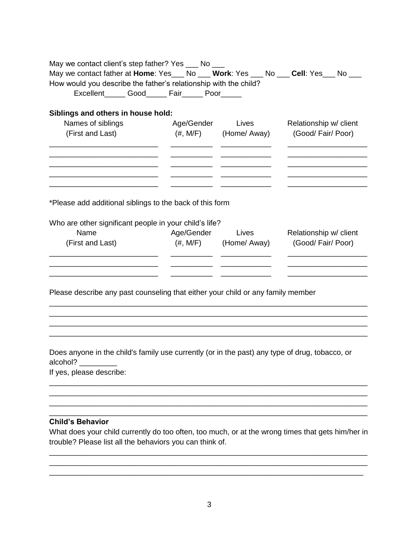| May we contact client's step father? Yes ___ No ___<br>May we contact father at Home: Yes___ No ___ Work: Yes ___ No ___ Cell: Yes___ No ___ |                                              |                                            |
|----------------------------------------------------------------------------------------------------------------------------------------------|----------------------------------------------|--------------------------------------------|
| How would you describe the father's relationship with the child?<br>Excellent_______ Good_______ Fair_______ Poor______                      |                                              |                                            |
| Siblings and others in house hold:                                                                                                           |                                              |                                            |
| Names of siblings                                                                                                                            | Age/Gender Lives<br>Relationship w/ client   |                                            |
| (First and Last)                                                                                                                             | $(\#,\mathsf{M/F})$ (Home/Away)              | (Good/Fair/Poor)                           |
|                                                                                                                                              |                                              |                                            |
| *Please add additional siblings to the back of this form                                                                                     |                                              |                                            |
|                                                                                                                                              |                                              |                                            |
| Who are other significant people in your child's life?                                                                                       |                                              |                                            |
| Name<br>(First and Last)                                                                                                                     | Age/Gender Lives<br>$(\#,\,M/F)$ (Home/Away) | Relationship w/ client<br>(Good/Fair/Poor) |
|                                                                                                                                              |                                              |                                            |
| Please describe any past counseling that either your child or any family member                                                              |                                              |                                            |
|                                                                                                                                              |                                              |                                            |
| Does anyone in the child's family use currently (or in the past) any type of drug, tobacco, or<br>alcohol?                                   |                                              |                                            |
| If yes, please describe:                                                                                                                     |                                              |                                            |
|                                                                                                                                              |                                              |                                            |
|                                                                                                                                              |                                              |                                            |
| <b>Child's Behavior</b>                                                                                                                      |                                              |                                            |
| What does your child currently do too often, too much, or at the wrong times that gets him/her in                                            |                                              |                                            |
| trouble? Please list all the behaviors you can think of.                                                                                     |                                              |                                            |

\_\_\_\_\_\_\_\_\_\_\_\_\_\_\_\_\_\_\_\_\_\_\_\_\_\_\_\_\_\_\_\_\_\_\_\_\_\_\_\_\_\_\_\_\_\_\_\_\_\_\_\_\_\_\_\_\_\_\_\_\_\_\_\_\_\_\_\_\_\_\_\_\_\_\_\_ \_\_\_\_\_\_\_\_\_\_\_\_\_\_\_\_\_\_\_\_\_\_\_\_\_\_\_\_\_\_\_\_\_\_\_\_\_\_\_\_\_\_\_\_\_\_\_\_\_\_\_\_\_\_\_\_\_\_\_\_\_\_\_\_\_\_\_\_\_\_\_\_\_\_\_\_ \_\_\_\_\_\_\_\_\_\_\_\_\_\_\_\_\_\_\_\_\_\_\_\_\_\_\_\_\_\_\_\_\_\_\_\_\_\_\_\_\_\_\_\_\_\_\_\_\_\_\_\_\_\_\_\_\_\_\_\_\_\_\_\_\_\_\_\_\_\_\_\_\_\_\_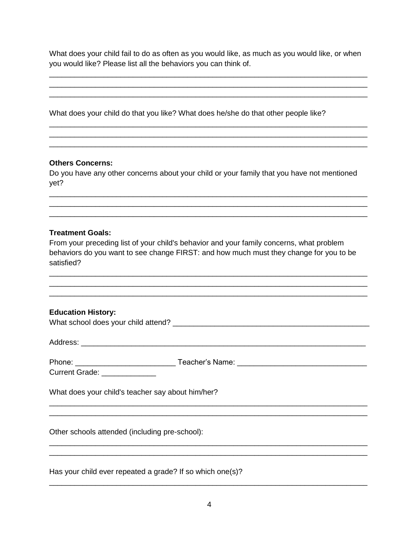What does your child fail to do as often as you would like, as much as you would like, or when you would like? Please list all the behaviors you can think of.

What does your child do that you like? What does he/she do that other people like?

#### **Others Concerns:**

Do you have any other concerns about your child or your family that you have not mentioned yet?

#### **Treatment Goals:**

From your preceding list of your child's behavior and your family concerns, what problem behaviors do you want to see change FIRST: and how much must they change for you to be satisfied?

| <b>Education History:</b>                                 |  |
|-----------------------------------------------------------|--|
|                                                           |  |
|                                                           |  |
| Current Grade: ______________                             |  |
| What does your child's teacher say about him/her?         |  |
| Other schools attended (including pre-school):            |  |
| Has your child ever repeated a grade? If so which one(s)? |  |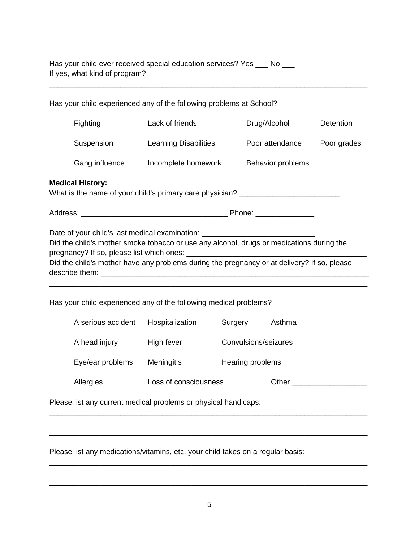| Has your child ever received special education services? Yes |  |
|--------------------------------------------------------------|--|
| If yes, what kind of program?                                |  |

| Has your child experienced any of the following problems at School?                                                                                                                                                                                                                                                                              |                                                                 |                      |                          |                  |
|--------------------------------------------------------------------------------------------------------------------------------------------------------------------------------------------------------------------------------------------------------------------------------------------------------------------------------------------------|-----------------------------------------------------------------|----------------------|--------------------------|------------------|
| Fighting                                                                                                                                                                                                                                                                                                                                         | Lack of friends                                                 |                      | Drug/Alcohol             | <b>Detention</b> |
| Suspension                                                                                                                                                                                                                                                                                                                                       | <b>Learning Disabilities</b>                                    |                      | Poor attendance          | Poor grades      |
| Gang influence                                                                                                                                                                                                                                                                                                                                   | Incomplete homework                                             |                      | <b>Behavior problems</b> |                  |
| <b>Medical History:</b><br>What is the name of your child's primary care physician? _______________________                                                                                                                                                                                                                                      |                                                                 |                      |                          |                  |
|                                                                                                                                                                                                                                                                                                                                                  |                                                                 |                      |                          |                  |
| Date of your child's last medical examination: _________________________________<br>Did the child's mother smoke tobacco or use any alcohol, drugs or medications during the<br>Did the child's mother have any problems during the pregnancy or at delivery? If so, please<br>Has your child experienced any of the following medical problems? |                                                                 |                      |                          |                  |
| A serious accident                                                                                                                                                                                                                                                                                                                               | Hospitalization                                                 | Surgery              | Asthma                   |                  |
| A head injury                                                                                                                                                                                                                                                                                                                                    | High fever                                                      | Convulsions/seizures |                          |                  |
| Eye/ear problems                                                                                                                                                                                                                                                                                                                                 | Meningitis                                                      | Hearing problems     |                          |                  |
| Allergies                                                                                                                                                                                                                                                                                                                                        | Loss of consciousness                                           |                      |                          |                  |
|                                                                                                                                                                                                                                                                                                                                                  | Please list any current medical problems or physical handicaps: |                      |                          |                  |
|                                                                                                                                                                                                                                                                                                                                                  |                                                                 |                      |                          |                  |

\_\_\_\_\_\_\_\_\_\_\_\_\_\_\_\_\_\_\_\_\_\_\_\_\_\_\_\_\_\_\_\_\_\_\_\_\_\_\_\_\_\_\_\_\_\_\_\_\_\_\_\_\_\_\_\_\_\_\_\_\_\_\_\_\_\_\_\_\_\_\_\_\_\_\_\_

Please list any medications/vitamins, etc. your child takes on a regular basis:

\_\_\_\_\_\_\_\_\_\_\_\_\_\_\_\_\_\_\_\_\_\_\_\_\_\_\_\_\_\_\_\_\_\_\_\_\_\_\_\_\_\_\_\_\_\_\_\_\_\_\_\_\_\_\_\_\_\_\_\_\_\_\_\_\_\_\_\_\_\_\_\_\_\_\_\_

\_\_\_\_\_\_\_\_\_\_\_\_\_\_\_\_\_\_\_\_\_\_\_\_\_\_\_\_\_\_\_\_\_\_\_\_\_\_\_\_\_\_\_\_\_\_\_\_\_\_\_\_\_\_\_\_\_\_\_\_\_\_\_\_\_\_\_\_\_\_\_\_\_\_\_\_